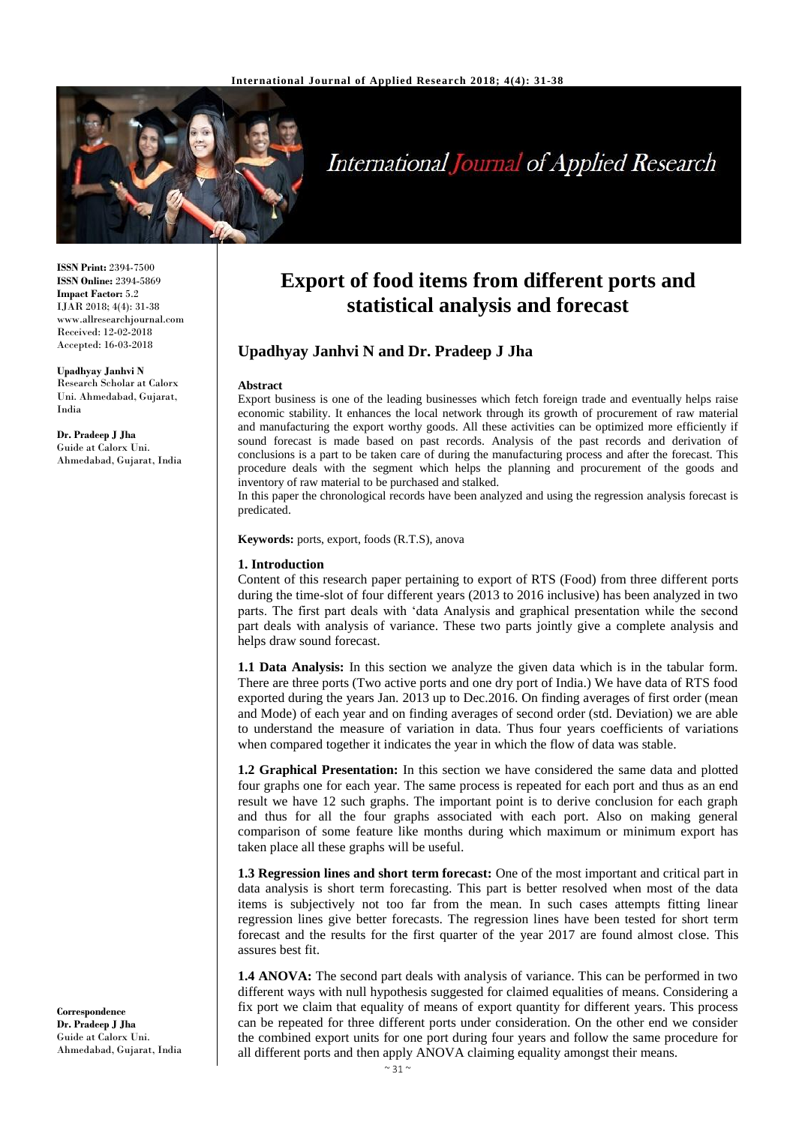

# **International Journal of Applied Research**

**ISSN Print:** 2394-7500 **ISSN Online:** 2394-5869 **Impact Factor:** 5.2 IJAR 2018; 4(4): 31-38 www.allresearchjournal.com Received: 12-02-2018 Accepted: 16-03-2018

**Upadhyay Janhvi N** Research Scholar at Calorx Uni. Ahmedabad, Gujarat, India

**Dr. Pradeep J Jha** Guide at Calorx Uni. Ahmedabad, Gujarat, India

# **Export of food items from different ports and statistical analysis and forecast**

# **Upadhyay Janhvi N and Dr. Pradeep J Jha**

#### **Abstract**

Export business is one of the leading businesses which fetch foreign trade and eventually helps raise economic stability. It enhances the local network through its growth of procurement of raw material and manufacturing the export worthy goods. All these activities can be optimized more efficiently if sound forecast is made based on past records. Analysis of the past records and derivation of conclusions is a part to be taken care of during the manufacturing process and after the forecast. This procedure deals with the segment which helps the planning and procurement of the goods and inventory of raw material to be purchased and stalked.

In this paper the chronological records have been analyzed and using the regression analysis forecast is predicated.

**Keywords:** ports, export, foods (R.T.S), anova

#### **1. Introduction**

Content of this research paper pertaining to export of RTS (Food) from three different ports during the time-slot of four different years (2013 to 2016 inclusive) has been analyzed in two parts. The first part deals with 'data Analysis and graphical presentation while the second part deals with analysis of variance. These two parts jointly give a complete analysis and helps draw sound forecast.

**1.1 Data Analysis:** In this section we analyze the given data which is in the tabular form. There are three ports (Two active ports and one dry port of India.) We have data of RTS food exported during the years Jan. 2013 up to Dec.2016. On finding averages of first order (mean and Mode) of each year and on finding averages of second order (std. Deviation) we are able to understand the measure of variation in data. Thus four years coefficients of variations when compared together it indicates the year in which the flow of data was stable.

**1.2 Graphical Presentation:** In this section we have considered the same data and plotted four graphs one for each year. The same process is repeated for each port and thus as an end result we have 12 such graphs. The important point is to derive conclusion for each graph and thus for all the four graphs associated with each port. Also on making general comparison of some feature like months during which maximum or minimum export has taken place all these graphs will be useful.

**1.3 Regression lines and short term forecast:** One of the most important and critical part in data analysis is short term forecasting. This part is better resolved when most of the data items is subjectively not too far from the mean. In such cases attempts fitting linear regression lines give better forecasts. The regression lines have been tested for short term forecast and the results for the first quarter of the year 2017 are found almost close. This assures best fit.

**1.4 ANOVA:** The second part deals with analysis of variance. This can be performed in two different ways with null hypothesis suggested for claimed equalities of means. Considering a fix port we claim that equality of means of export quantity for different years. This process can be repeated for three different ports under consideration. On the other end we consider the combined export units for one port during four years and follow the same procedure for all different ports and then apply ANOVA claiming equality amongst their means.

**Correspondence Dr. Pradeep J Jha** Guide at Calorx Uni. Ahmedabad, Gujarat, India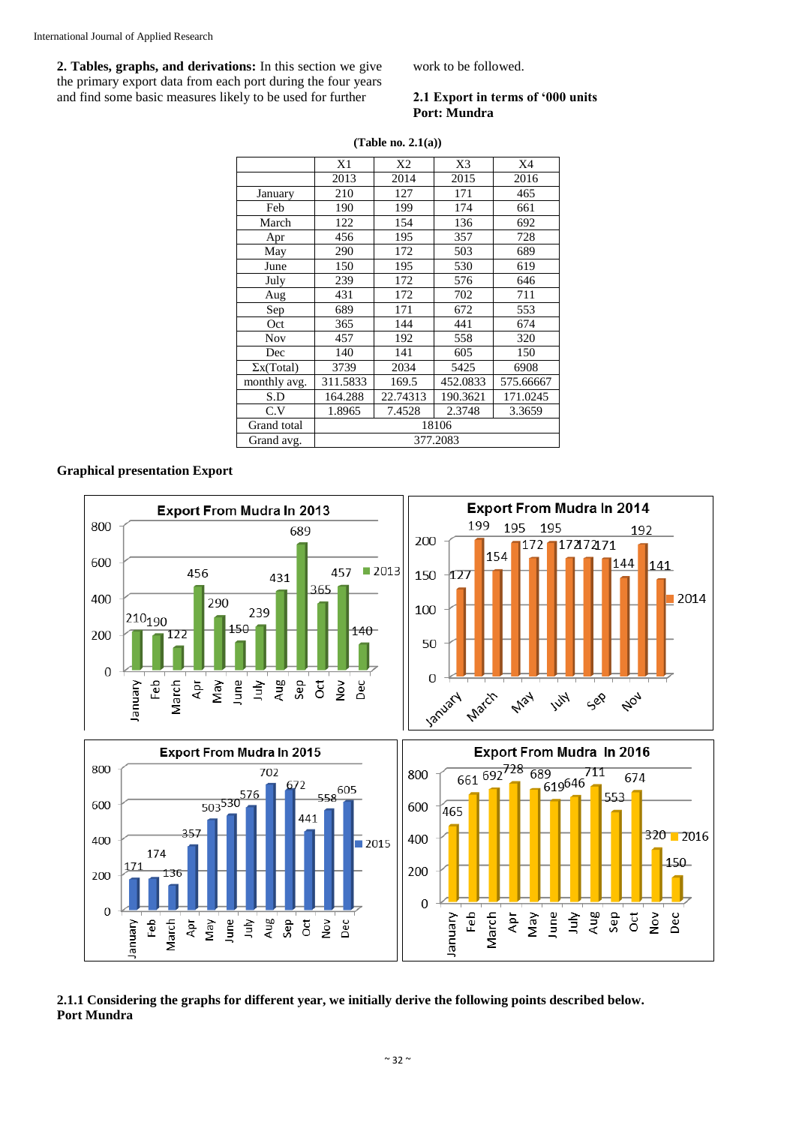**2. Tables, graphs, and derivations:** In this section we give the primary export data from each port during the four years and find some basic measures likely to be used for further

work to be followed.

#### **2.1 Export in terms of '000 units Port: Mundra**

|                   | X1       | X <sub>2</sub> | X <sub>3</sub> | X4        |
|-------------------|----------|----------------|----------------|-----------|
|                   | 2013     | 2014           | 2015           | 2016      |
| January           | 210      | 127            | 171            | 465       |
| Feb               | 190      | 199            | 174            | 661       |
| March             | 122      | 154            | 136            | 692       |
| Apr               | 456      | 195            | 357            | 728       |
| May               | 290      | 172            | 503            | 689       |
| June              | 150      | 195            | 530            | 619       |
| July              | 239      | 172            | 576            | 646       |
| Aug               | 431      | 172            | 702            | 711       |
| Sep               | 689      | 171            | 672            | 553       |
| Oct               | 365      | 144            | 441            | 674       |
| <b>Nov</b>        | 457      | 192            | 558            | 320       |
| Dec               | 140      | 141            | 605            | 150       |
| $\Sigma$ x(Total) | 3739     | 2034           | 5425           | 6908      |
| monthly avg.      | 311.5833 | 169.5          | 452.0833       | 575.66667 |
| S.D               | 164.288  | 22.74313       | 190.3621       | 171.0245  |
| C.V               | 1.8965   | 7.4528         | 2.3748         | 3.3659    |
| Grand total       |          |                | 18106          |           |
| Grand avg.        | 377.2083 |                |                |           |

**(Table no. 2.1(a))**

# **Graphical presentation Export**



# **2.1.1 Considering the graphs for different year, we initially derive the following points described below. Port Mundra**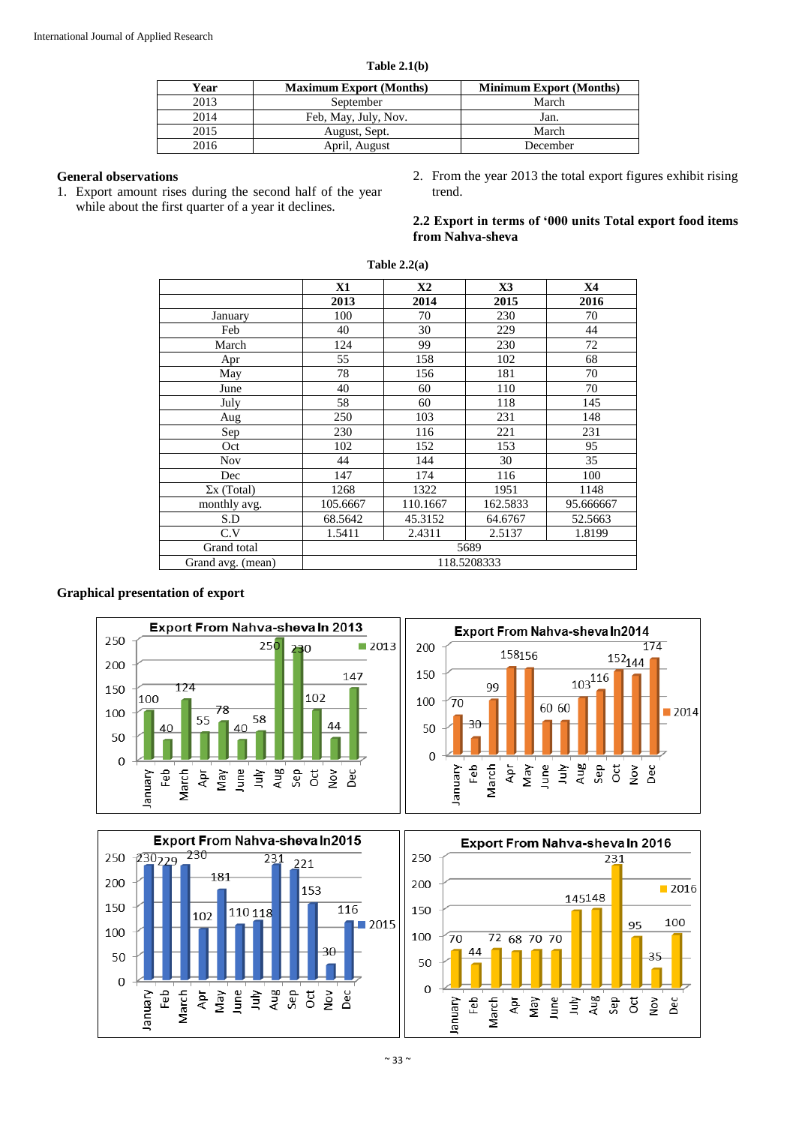| Year | <b>Maximum Export (Months)</b> | <b>Minimum Export (Months)</b> |
|------|--------------------------------|--------------------------------|
| 2013 | September                      | March                          |
| 2014 | Feb, May, July, Nov.           | Jan.                           |
| 2015 | August, Sept.                  | March                          |
| 2016 | April, August                  | December                       |

# **General observations**

- 1. Export amount rises during the second half of the year while about the first quarter of a year it declines.
- 2. From the year 2013 the total export figures exhibit rising trend.

**2.2 Export in terms of '000 units Total export food items from Nahva-sheva**

|                    | <b>X1</b>   | X2       | X3       | <b>X4</b> |
|--------------------|-------------|----------|----------|-----------|
|                    | 2013        | 2014     | 2015     | 2016      |
| January            | 100         | 70       | 230      | 70        |
| Feb                | 40          | 30       | 229      | 44        |
| March              | 124         | 99       | 230      | 72        |
| Apr                | 55          | 158      | 102      | 68        |
| May                | 78          | 156      | 181      | 70        |
| June               | 40          | 60       | 110      | 70        |
| July               | 58          | 60       | 118      | 145       |
| Aug                | 250         | 103      | 231      | 148       |
| Sep                | 230         | 116      | 221      | 231       |
| Oct                | 102         | 152      | 153      | 95        |
| <b>Nov</b>         | 44          | 144      | 30       | 35        |
| Dec                | 147         | 174      | 116      | 100       |
| $\Sigma$ x (Total) | 1268        | 1322     | 1951     | 1148      |
| monthly avg.       | 105.6667    | 110.1667 | 162.5833 | 95.666667 |
| S.D                | 68.5642     | 45.3152  | 64.6767  | 52.5663   |
| C.V                | 1.5411      | 2.4311   | 2.5137   | 1.8199    |
| Grand total        |             |          | 5689     |           |
| Grand avg. (mean)  | 118.5208333 |          |          |           |

# **Table 2.2(a)**

# **Graphical presentation of export**



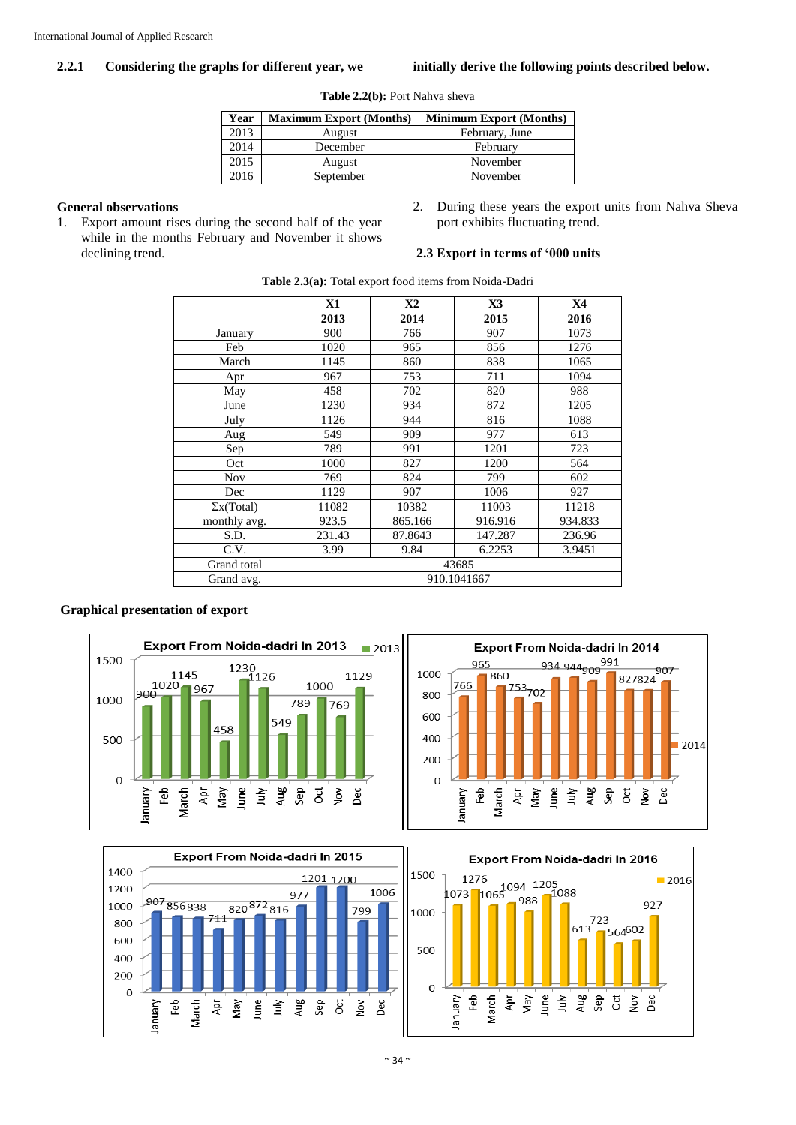# **2.2.1 Considering the graphs for different year, we initially derive the following points described below.**

**Table 2.2(b):** Port Nahva sheva

| Year | <b>Maximum Export (Months)</b> | <b>Minimum Export (Months)</b> |
|------|--------------------------------|--------------------------------|
| 2013 | August                         | February, June                 |
| 2014 | December                       | February                       |
| 2015 | August                         | November                       |
| 2016 | September                      | November                       |

# **General observations**

- 1. Export amount rises during the second half of the year while in the months February and November it shows declining trend.
- 2. During these years the export units from Nahva Sheva port exhibits fluctuating trend.

#### **2.3 Export in terms of '000 units**

|                   | X1          | X2      | X3      | <b>X4</b> |
|-------------------|-------------|---------|---------|-----------|
|                   | 2013        | 2014    | 2015    | 2016      |
| January           | 900         | 766     | 907     | 1073      |
| Feb               | 1020        | 965     | 856     | 1276      |
| March             | 1145        | 860     | 838     | 1065      |
| Apr               | 967         | 753     | 711     | 1094      |
| May               | 458         | 702     | 820     | 988       |
| June              | 1230        | 934     | 872     | 1205      |
| July              | 1126        | 944     | 816     | 1088      |
| Aug               | 549         | 909     | 977     | 613       |
| Sep               | 789         | 991     | 1201    | 723       |
| Oct               | 1000        | 827     | 1200    | 564       |
| <b>Nov</b>        | 769         | 824     | 799     | 602       |
| Dec               | 1129        | 907     | 1006    | 927       |
| $\Sigma$ x(Total) | 11082       | 10382   | 11003   | 11218     |
| monthly avg.      | 923.5       | 865.166 | 916.916 | 934.833   |
| S.D.              | 231.43      | 87.8643 | 147.287 | 236.96    |
| C.V.              | 3.99        | 9.84    | 6.2253  | 3.9451    |
| Grand total       |             |         | 43685   |           |
| Grand avg.        | 910.1041667 |         |         |           |

**Table 2.3(a):** Total export food items from Noida-Dadri

#### **Graphical presentation of export**





 $\begin{array}{r} \n 723 \\
\hline\n 613 \n \end{array}$ 

 $\blacksquare$  2016

927

,<br>564<sup>602</sup>



 $\sim$  34  $\sim$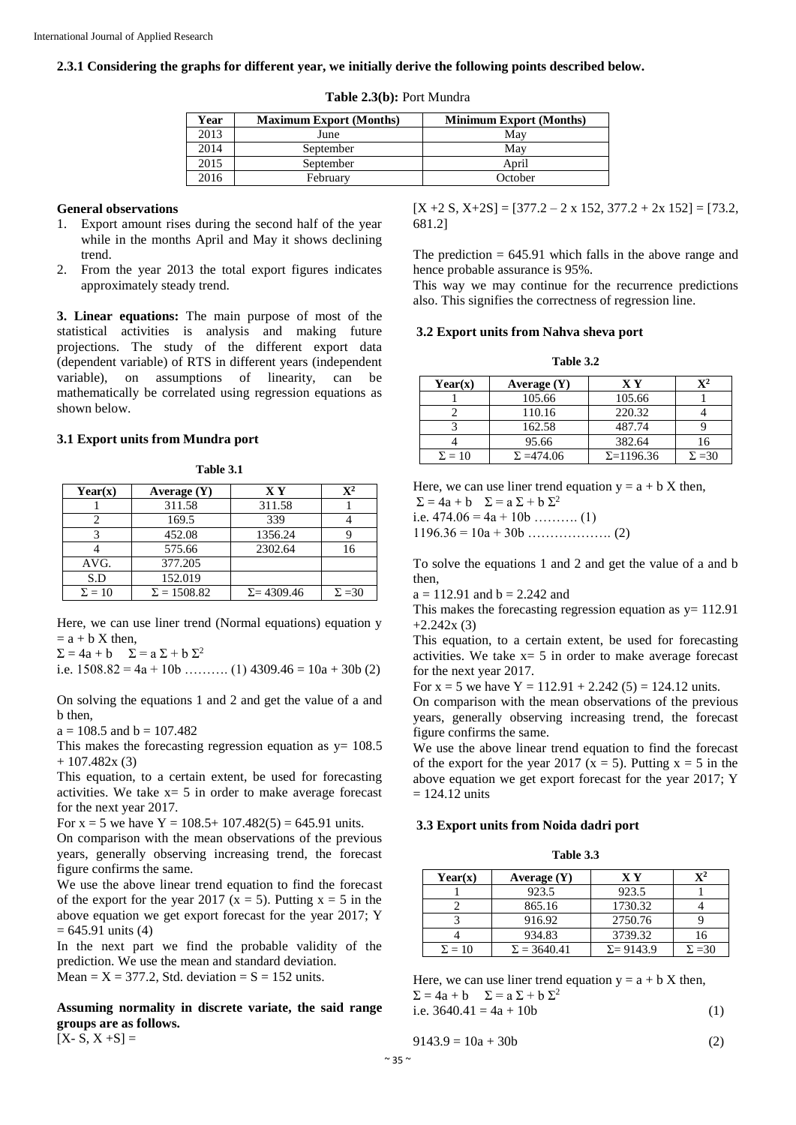## **2.3.1 Considering the graphs for different year, we initially derive the following points described below.**

| Year | <b>Maximum Export (Months)</b> | <b>Minimum Export (Months)</b> |
|------|--------------------------------|--------------------------------|
| 2013 | June                           | May                            |
| 2014 | September                      | May                            |
| 2015 | September                      | April                          |
| 2016 | February                       | October                        |

#### **Table 2.3(b):** Port Mundra

#### **General observations**

- 1. Export amount rises during the second half of the year while in the months April and May it shows declining trend.
- 2. From the year 2013 the total export figures indicates approximately steady trend.

**3. Linear equations:** The main purpose of most of the statistical activities is analysis and making future projections. The study of the different export data (dependent variable) of RTS in different years (independent variable), on assumptions of linearity, can be mathematically be correlated using regression equations as shown below.

# **3.1 Export units from Mundra port**

**Table 3.1**

| Year(x)       | Average $(Y)$      | <b>XY</b>          | $\mathbf{X}^{\mathbf{2}}$ |
|---------------|--------------------|--------------------|---------------------------|
|               | 311.58             | 311.58             |                           |
|               | 169.5              | 339                |                           |
|               | 452.08             | 1356.24            |                           |
|               | 575.66             | 2302.64            | 16                        |
| AVG.          | 377.205            |                    |                           |
| S.D           | 152.019            |                    |                           |
| $\Sigma = 10$ | $\Sigma = 1508.82$ | $\Sigma = 4309.46$ | $\Sigma = 30$             |

Here, we can use liner trend (Normal equations) equation y  $=$  a + b X then.

 $\Sigma = 4a + b$   $\Sigma = a \Sigma + b \Sigma^2$ 

i.e.  $1508.82 = 4a + 10b$  … (1)  $4309.46 = 10a + 30b$  (2)

On solving the equations 1 and 2 and get the value of a and b then,

 $a = 108.5$  and  $b = 107.482$ 

This makes the forecasting regression equation as  $v= 108.5$  $+ 107.482x(3)$ 

This equation, to a certain extent, be used for forecasting activities. We take  $x=5$  in order to make average forecast for the next year 2017.

For  $x = 5$  we have  $Y = 108.5 + 107.482(5) = 645.91$  units.

On comparison with the mean observations of the previous years, generally observing increasing trend, the forecast figure confirms the same.

We use the above linear trend equation to find the forecast of the export for the year 2017 ( $x = 5$ ). Putting  $x = 5$  in the above equation we get export forecast for the year 2017; Y  $= 645.91$  units (4)

In the next part we find the probable validity of the prediction. We use the mean and standard deviation. Mean =  $X = 377.2$ , Std. deviation =  $S = 152$  units.

**Assuming normality in discrete variate, the said range groups are as follows.**

 $[X - S, X + S] =$ 

 $[X + 2 S, X + 2S] = [377.2 - 2 \times 152, 377.2 + 2 \times 152] = [73.2,$ 681.2]

The prediction  $= 645.91$  which falls in the above range and hence probable assurance is 95%.

This way we may continue for the recurrence predictions also. This signifies the correctness of regression line.

## **3.2 Export units from Nahva sheva port**

**Table 3.2**

| Year(x)       | Average $(Y)$     | $\mathbf{X} \mathbf{Y}$ | $\mathbf{v}$ 2 |
|---------------|-------------------|-------------------------|----------------|
|               | 105.66            | 105.66                  |                |
|               | 110.16            | 220.32                  |                |
|               | 162.58            | 487.74                  |                |
|               | 95.66             | 382.64                  | 16             |
| $\Sigma = 10$ | $\Sigma = 474.06$ | $\Sigma = 1196.36$      | $\Sigma = 30$  |

Here, we can use liner trend equation  $y = a + bX$  then,

 $\Sigma = 4a + b$   $\Sigma = a \Sigma + b \Sigma^2$ 

i.e.  $474.06 = 4a + 10b$  ……….. (1)

1196.36 = 10a + 30b ………………. (2)

To solve the equations 1 and 2 and get the value of a and b then,

 $a = 112.91$  and  $b = 2.242$  and

This makes the forecasting regression equation as  $y = 112.91$  $+2.242x(3)$ 

This equation, to a certain extent, be used for forecasting activities. We take  $x = 5$  in order to make average forecast for the next year 2017.

For  $x = 5$  we have  $Y = 112.91 + 2.242(5) = 124.12$  units.

On comparison with the mean observations of the previous years, generally observing increasing trend, the forecast figure confirms the same.

We use the above linear trend equation to find the forecast of the export for the year 2017 ( $x = 5$ ). Putting  $x = 5$  in the above equation we get export forecast for the year 2017; Y  $= 124.12$  units

#### **3.3 Export units from Noida dadri port**

**Table 3.3**

| Year(x)       | Average $(Y)$      | X Y               |               |
|---------------|--------------------|-------------------|---------------|
|               | 923.5              | 923.5             |               |
|               | 865.16             | 1730.32           |               |
|               | 916.92             | 2750.76           |               |
|               | 934.83             | 3739.32           |               |
| $\Sigma = 10$ | $\Sigma = 3640.41$ | $\Sigma = 9143.9$ | $\Sigma = 30$ |

Here, we can use liner trend equation  $y = a + bX$  then,  $\Sigma = 4a + b$   $\Sigma = a \Sigma + b \Sigma^2$ i.e.  $3640.41 = 4a + 10b$  (1)

$$
9143.9 = 10a + 30b \tag{2}
$$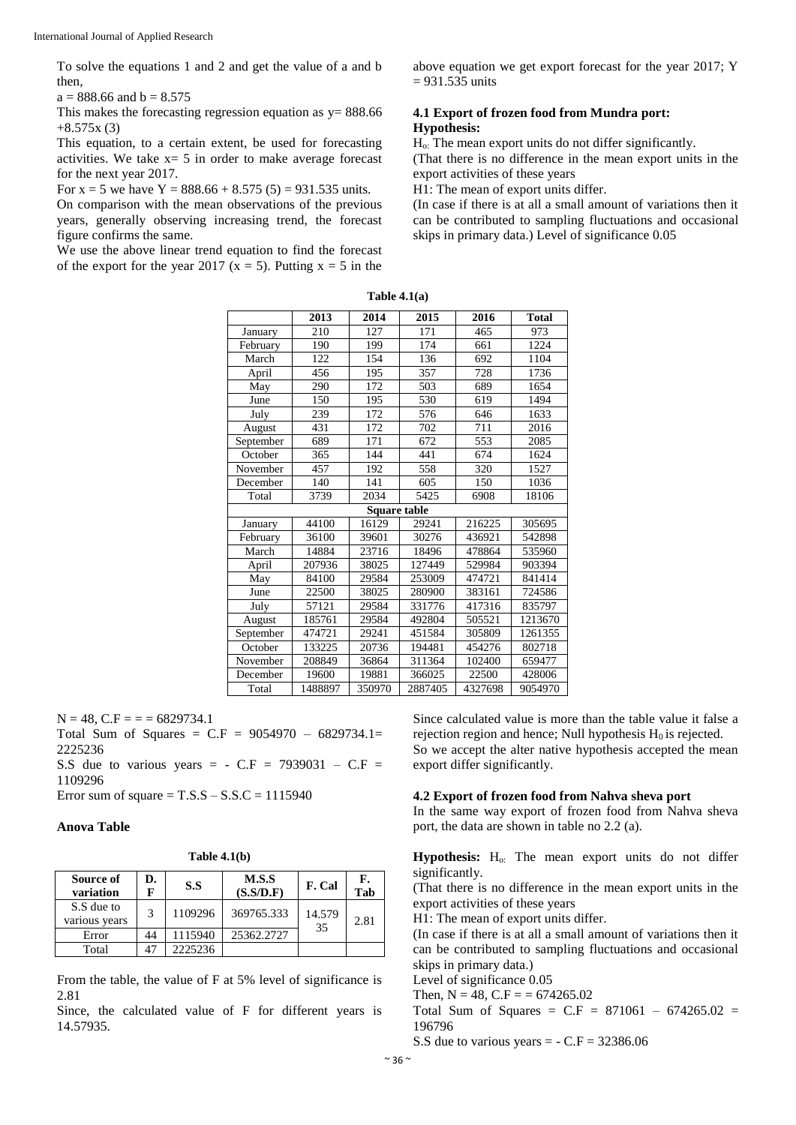To solve the equations 1 and 2 and get the value of a and b then,

 $a = 888.66$  and  $b = 8.575$ 

This makes the forecasting regression equation as  $y = 888.66$  $+8.575x(3)$ 

This equation, to a certain extent, be used for forecasting activities. We take  $x = 5$  in order to make average forecast for the next year 2017.

For  $x = 5$  we have  $Y = 888.66 + 8.575(5) = 931.535$  units.

On comparison with the mean observations of the previous years, generally observing increasing trend, the forecast figure confirms the same.

We use the above linear trend equation to find the forecast of the export for the year 2017 ( $x = 5$ ). Putting  $x = 5$  in the

above equation we get export forecast for the year 2017; Y = 931.535 units

# **4.1 Export of frozen food from Mundra port: Hypothesis:**

Ho: The mean export units do not differ significantly. (That there is no difference in the mean export units in the export activities of these years

H1: The mean of export units differ.

(In case if there is at all a small amount of variations then it can be contributed to sampling fluctuations and occasional skips in primary data.) Level of significance 0.05

**Table 4.1(a)**

|           | 2013    | 2014                | 2015    | 2016    | <b>Total</b> |
|-----------|---------|---------------------|---------|---------|--------------|
| January   | 210     | 127                 | 171     | 465     | 973          |
| February  | 190     | 199                 | 174     | 661     | 1224         |
| March     | 122     | 154                 | 136     | 692     | 1104         |
| April     | 456     | 195                 | 357     | 728     | 1736         |
| May       | 290     | 172                 | 503     | 689     | 1654         |
| June      | 150     | 195                 | 530     | 619     | 1494         |
| July      | 239     | 172                 | 576     | 646     | 1633         |
| August    | 431     | 172                 | 702     | 711     | 2016         |
| September | 689     | 171                 | 672     | 553     | 2085         |
| October   | 365     | 144                 | 441     | 674     | 1624         |
| November  | 457     | 192                 | 558     | 320     | 1527         |
| December  | 140     | 141                 | 605     | 150     | 1036         |
| Total     | 3739    | 2034                | 5425    | 6908    | 18106        |
|           |         | <b>Square table</b> |         |         |              |
| January   | 44100   | 16129               | 29241   | 216225  | 305695       |
| February  | 36100   | 39601               | 30276   | 436921  | 542898       |
| March     | 14884   | 23716               | 18496   | 478864  | 535960       |
| April     | 207936  | 38025               | 127449  | 529984  | 903394       |
| May       | 84100   | 29584               | 253009  | 474721  | 841414       |
| June      | 22500   | 38025               | 280900  | 383161  | 724586       |
| July      | 57121   | 29584               | 331776  | 417316  | 835797       |
| August    | 185761  | 29584               | 492804  | 505521  | 1213670      |
| September | 474721  | 29241               | 451584  | 305809  | 1261355      |
| October   | 133225  | 20736               | 194481  | 454276  | 802718       |
| November  | 208849  | 36864               | 311364  | 102400  | 659477       |
| December  | 19600   | 19881               | 366025  | 22500   | 428006       |
| Total     | 1488897 | 350970              | 2887405 | 4327698 | 9054970      |

 $N = 48$ ,  $C.F = 56829734.1$ 

Total Sum of Squares =  $C.F = 9054970 - 6829734.1=$ 2225236

S.S due to various years =  $-C.F = 7939031 - C.F =$ 1109296

Error sum of square  $=$  T.S.S  $-$  S.S.C  $=$  1115940

#### **Anova Table**

**Table 4.1(b)**

| Source of<br>variation      | D.<br>F | S.S     | M.S.S<br>(S.S/D.F) | F. Cal       | F.<br>Tab |
|-----------------------------|---------|---------|--------------------|--------------|-----------|
| S.S due to<br>various years | 3       | 1109296 | 369765.333         | 14.579<br>35 | 2.81      |
| Error                       | 44      | 1115940 | 25362.2727         |              |           |
| Total                       |         | 2225236 |                    |              |           |

From the table, the value of F at 5% level of significance is 2.81

Since, the calculated value of F for different years is 14.57935.

Since calculated value is more than the table value it false a rejection region and hence; Null hypothesis  $H_0$  is rejected. So we accept the alter native hypothesis accepted the mean export differ significantly.

#### **4.2 Export of frozen food from Nahva sheva port**

In the same way export of frozen food from Nahva sheva port, the data are shown in table no 2.2 (a).

**Hypothesis:** H<sub>o:</sub> The mean export units do not differ significantly.

(That there is no difference in the mean export units in the export activities of these years

H1: The mean of export units differ.

(In case if there is at all a small amount of variations then it can be contributed to sampling fluctuations and occasional skips in primary data.)

Level of significance 0.05

Then,  $N = 48$ ,  $C.F = 674265.02$ 

Total Sum of Squares =  $C.F = 871061 - 674265.02$ 196796

S.S due to various years  $= -C.F = 32386.06$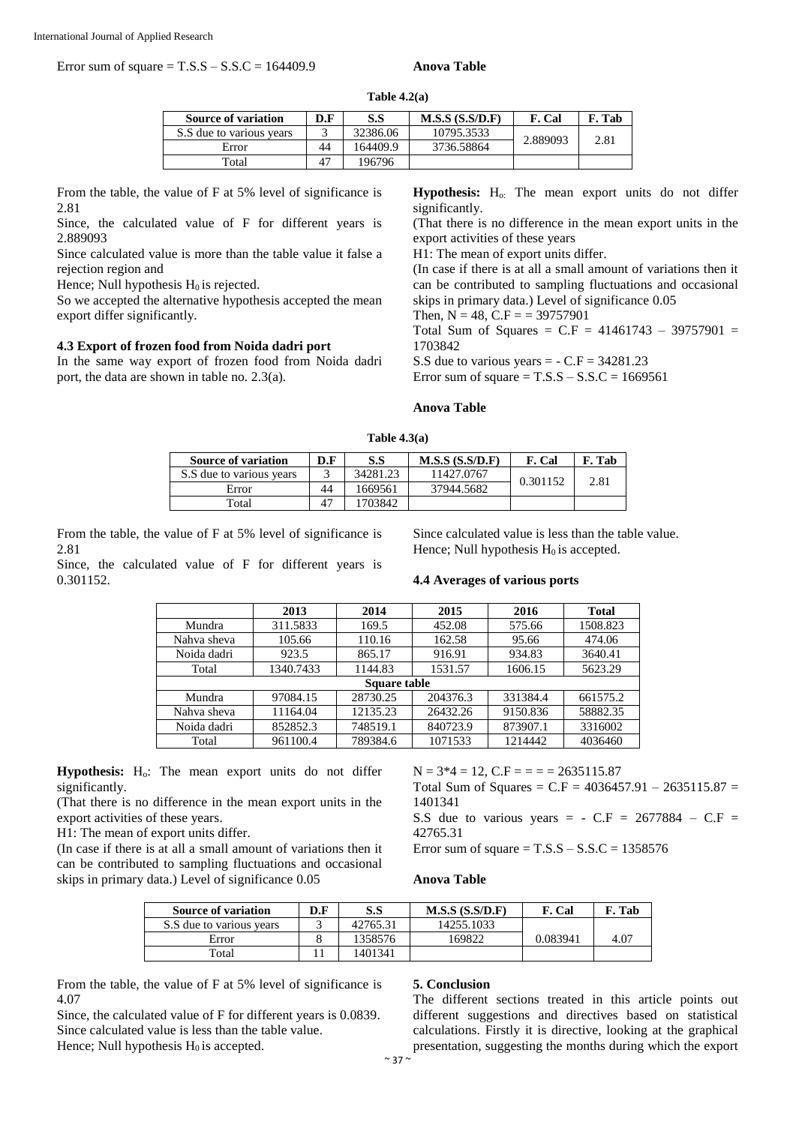Error sum of square = T.S.S – S.S.C = 164409.9 **Anova Table**

#### **Table 4.2(a)**

| <b>Source of variation</b> | D.F | S.S      | M.S.S(S.S/D.F) | F. Cal   | F. Tab |
|----------------------------|-----|----------|----------------|----------|--------|
|                            |     |          |                |          |        |
| S.S due to various years   |     | 32386.06 | 10795.3533     | 2.889093 | 2.81   |
| Error                      | 44  | 164409.9 | 3736.58864     |          |        |
| Total                      | 47  | 196796   |                |          |        |

From the table, the value of F at 5% level of significance is 2.81

Since, the calculated value of F for different years is 2.889093

Since calculated value is more than the table value it false a rejection region and

Hence; Null hypothesis  $H_0$  is rejected.

So we accepted the alternative hypothesis accepted the mean export differ significantly.

#### **4.3 Export of frozen food from Noida dadri port**

In the same way export of frozen food from Noida dadri port, the data are shown in table no. 2.3(a).

Hypothesis: H<sub>o:</sub> The mean export units do not differ significantly.

(That there is no difference in the mean export units in the export activities of these years

H1: The mean of export units differ.

(In case if there is at all a small amount of variations then it can be contributed to sampling fluctuations and occasional skips in primary data.) Level of significance 0.05

Then,  $N = 48$ ,  $C.F = 39757901$ 

Total Sum of Squares =  $C.F = 41461743 - 39757901 =$ 1703842

S.S due to various years  $= -C.F = 34281.23$ 

Error sum of square  $=$  T.S.S  $-$  S.S.C  $=$  1669561

#### **Anova Table**

| <b>Source of variation</b> | D.F | S.S      | M.S.S(S.S/D.F) | F. Cal   | F. Tab |
|----------------------------|-----|----------|----------------|----------|--------|
| S.S due to various years   |     | 34281.23 | 11427.0767     | 0.301152 | 2.81   |
| Error                      | 44  | 1669561  | 37944.5682     |          |        |
| Total                      | 47  | 1703842  |                |          |        |

From the table, the value of F at 5% level of significance is 2.81

Since, the calculated value of F for different years is 0.301152.

Since calculated value is less than the table value. Hence; Null hypothesis  $H_0$  is accepted.

#### **4.4 Averages of various ports**

|              | 2013      | 2014     | 2015     | 2016     | <b>Total</b> |  |
|--------------|-----------|----------|----------|----------|--------------|--|
| Mundra       | 311.5833  | 169.5    | 452.08   | 575.66   | 1508.823     |  |
| Nahva sheva  | 105.66    | 110.16   | 162.58   | 95.66    | 474.06       |  |
| Noida dadri  | 923.5     | 865.17   | 916.91   | 934.83   | 3640.41      |  |
| Total        | 1340.7433 | 1144.83  | 1531.57  | 1606.15  | 5623.29      |  |
| Square table |           |          |          |          |              |  |
| Mundra       | 97084.15  | 28730.25 | 204376.3 | 331384.4 | 661575.2     |  |
| Nahva sheva  | 11164.04  | 12135.23 | 26432.26 | 9150.836 | 58882.35     |  |
| Noida dadri  | 852852.3  | 748519.1 | 840723.9 | 873907.1 | 3316002      |  |
| Total        | 961100.4  | 789384.6 | 1071533  | 1214442  | 4036460      |  |

**Hypothesis:** Ho: The mean export units do not differ significantly.

(That there is no difference in the mean export units in the export activities of these years.

H1: The mean of export units differ.

(In case if there is at all a small amount of variations then it can be contributed to sampling fluctuations and occasional skips in primary data.) Level of significance 0.05

 $N = 3*4 = 12$ ,  $C.F = 14.635115.87$ Total Sum of Squares =  $C.F = 4036457.91 - 2635115.87 =$ 1401341 S.S due to various years =  $-C.F = 2677884 - C.F =$ 42765.31

Error sum of square  $=$  T.S.S  $-$  S.S.C  $=$  1358576

# **Anova Table**

| <b>Source of variation</b> | D.F | S.S      | M.S.S(S.S/D.F) | Cal      | . Tab |
|----------------------------|-----|----------|----------------|----------|-------|
| S.S due to various years   |     | 42765.31 | 14255.1033     |          |       |
| Error                      |     | 1358576  | 169822         | 0.083941 | 4.07  |
| Total                      |     | 1401341  |                |          |       |

From the table, the value of F at 5% level of significance is 4.07

Since, the calculated value of F for different years is 0.0839. Since calculated value is less than the table value. Hence; Null hypothesis  $H_0$  is accepted.

#### **5. Conclusion**

The different sections treated in this article points out different suggestions and directives based on statistical calculations. Firstly it is directive, looking at the graphical presentation, suggesting the months during which the export